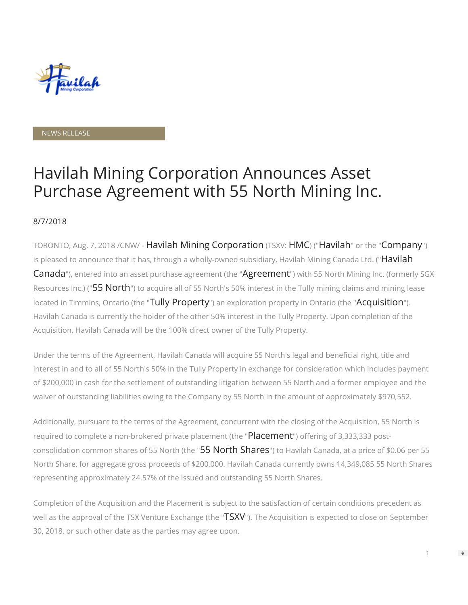

#### NEWS RELEASE

# Havilah Mining Corporation Announces Asset Purchase Agreement with 55 North Mining Inc.

### 8/7/2018

TORONTO, Aug. 7, 2018 /CNW/ - Havilah Mining Corporation (TSXV: HMC) ("Havilah" or the "Company") is pleased to announce that it has, through a wholly-owned subsidiary, Havilah Mining Canada Ltd. ("**Havilah** Canada"), entered into an asset purchase agreement (the "Agreement") with 55 North Mining Inc. (formerly SGX Resources Inc.) ("55 North") to acquire all of 55 North's 50% interest in the Tully mining claims and mining lease located in Timmins, Ontario (the "Tully Property") an exploration property in Ontario (the "Acquisition"). Havilah Canada is currently the holder of the other 50% interest in the Tully Property. Upon completion of the Acquisition, Havilah Canada will be the 100% direct owner of the Tully Property.

Under the terms of the Agreement, Havilah Canada will acquire 55 North's legal and beneficial right, title and interest in and to all of 55 North's 50% in the Tully Property in exchange for consideration which includes payment of \$200,000 in cash for the settlement of outstanding litigation between 55 North and a former employee and the waiver of outstanding liabilities owing to the Company by 55 North in the amount of approximately \$970,552.

Additionally, pursuant to the terms of the Agreement, concurrent with the closing of the Acquisition, 55 North is required to complete a non-brokered private placement (the "Placement") offering of 3,333,333 postconsolidation common shares of 55 North (the "55 North Shares") to Havilah Canada, at a price of \$0.06 per 55 North Share, for aggregate gross proceeds of \$200,000. Havilah Canada currently owns 14,349,085 55 North Shares representing approximately 24.57% of the issued and outstanding 55 North Shares.

Completion of the Acquisition and the Placement is subject to the satisfaction of certain conditions precedent as well as the approval of the TSX Venture Exchange (the "TSXV"). The Acquisition is expected to close on September 30, 2018, or such other date as the parties may agree upon.

1

 $\Rightarrow$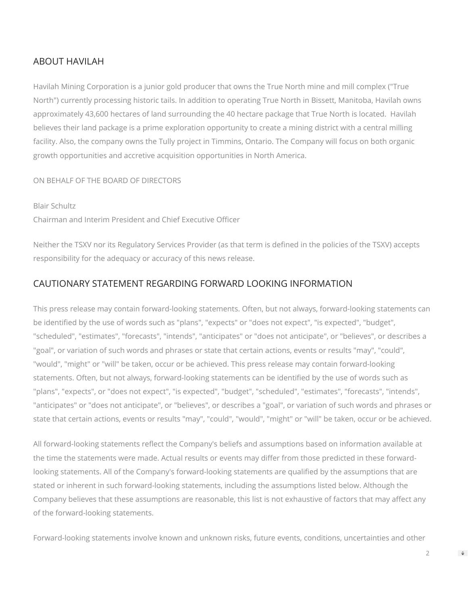## ABOUT HAVILAH

Havilah Mining Corporation is a junior gold producer that owns the True North mine and mill complex ("True North") currently processing historic tails. In addition to operating True North in Bissett, Manitoba, Havilah owns approximately 43,600 hectares of land surrounding the 40 hectare package that True North is located. Havilah believes their land package is a prime exploration opportunity to create a mining district with a central milling facility. Also, the company owns the Tully project in Timmins, Ontario. The Company will focus on both organic growth opportunities and accretive acquisition opportunities in North America.

## ON BEHALF OF THE BOARD OF DIRECTORS

Blair Schultz Chairman and Interim President and Chief Executive Officer

Neither the TSXV nor its Regulatory Services Provider (as that term is defined in the policies of the TSXV) accepts responsibility for the adequacy or accuracy of this news release.

## CAUTIONARY STATEMENT REGARDING FORWARD LOOKING INFORMATION

This press release may contain forward-looking statements. Often, but not always, forward-looking statements can be identified by the use of words such as "plans", "expects" or "does not expect", "is expected", "budget", "scheduled", "estimates", "forecasts", "intends", "anticipates" or "does not anticipate", or "believes", or describes a "goal", or variation of such words and phrases or state that certain actions, events or results "may", "could", "would", "might" or "will" be taken, occur or be achieved. This press release may contain forward-looking statements. Often, but not always, forward-looking statements can be identified by the use of words such as "plans", "expects", or "does not expect", "is expected", "budget", "scheduled", "estimates", "forecasts", "intends", "anticipates" or "does not anticipate", or "believes", or describes a "goal", or variation of such words and phrases or state that certain actions, events or results "may", "could", "would", "might" or "will" be taken, occur or be achieved.

All forward-looking statements reflect the Company's beliefs and assumptions based on information available at the time the statements were made. Actual results or events may differ from those predicted in these forwardlooking statements. All of the Company's forward-looking statements are qualified by the assumptions that are stated or inherent in such forward-looking statements, including the assumptions listed below. Although the Company believes that these assumptions are reasonable, this list is not exhaustive of factors that may affect any of the forward-looking statements.

Forward-looking statements involve known and unknown risks, future events, conditions, uncertainties and other

 $\Rightarrow$ 

 $\mathfrak{I}$